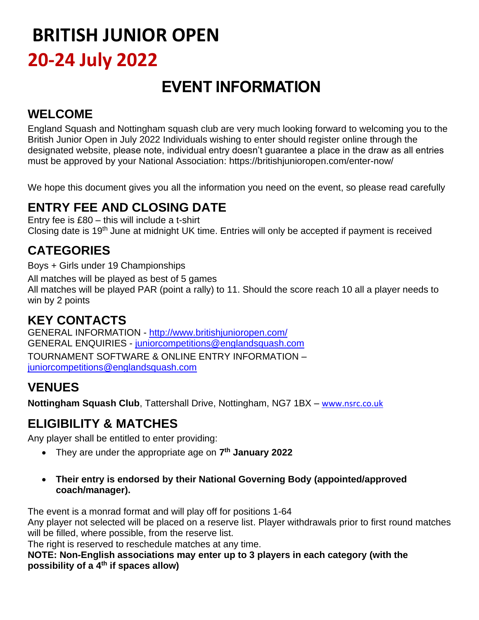## **BRITISH JUNIOR OPEN 20-24 July 2022**

### **EVENT INFORMATION**

#### **WELCOME**

England Squash and Nottingham squash club are very much looking forward to welcoming you to the British Junior Open in July 2022 Individuals wishing to enter should register online through the designated website, please note, individual entry doesn't guarantee a place in the draw as all entries must be approved by your National Association:<https://britishjunioropen.com/enter-now/>

We hope this document gives you all the information you need on the event, so please read carefully

#### **ENTRY FEE AND CLOSING DATE**

Entry fee is £80 – this will include a t-shirt Closing date is 19<sup>th</sup> June at midnight UK time. Entries will only be accepted if payment is received

#### **CATEGORIES**

Boys + Girls under 19 Championships

All matches will be played as best of 5 games

All matches will be played PAR (point a rally) to 11. Should the score reach 10 all a player needs to win by 2 points

#### **KEY CONTACTS**

GENERAL INFORMATION - <http://www.britishjunioropen.com/> GENERAL ENQUIRIES - [juniorcompetitions@englandsquash.com](mailto:juniorcompetitions@englandsquash.com) TOURNAMENT SOFTWARE & ONLINE ENTRY INFORMATION – [juniorcompetitions@englandsquash.com](mailto:juniorcompetitions@englandsquash.com)

#### **VENUES**

**Nottingham Squash Club**, Tattershall Drive, Nottingham, NG7 1BX – [www.nsrc.co.uk](http://www.nsrc.co.uk/)

#### **ELIGIBILITY & MATCHES**

Any player shall be entitled to enter providing:

- They are under the appropriate age on **7 th January 2022**
- **Their entry is endorsed by their National Governing Body (appointed/approved coach/manager).**

The event is a monrad format and will play off for positions 1-64

Any player not selected will be placed on a reserve list. Player withdrawals prior to first round matches will be filled, where possible, from the reserve list.

The right is reserved to reschedule matches at any time.

**NOTE: Non-English associations may enter up to 3 players in each category (with the possibility of a 4th if spaces allow)**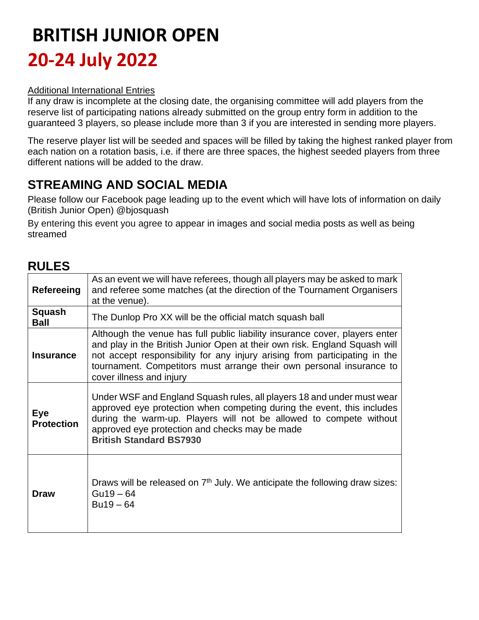## **BRITISH JUNIOR OPEN 20-24 July 2022**

#### Additional International Entries

If any draw is incomplete at the closing date, the organising committee will add players from the reserve list of participating nations already submitted on the group entry form in addition to the guaranteed 3 players, so please include more than 3 if you are interested in sending more players.

The reserve player list will be seeded and spaces will be filled by taking the highest ranked player from each nation on a rotation basis, i.e. if there are three spaces, the highest seeded players from three different nations will be added to the draw.

#### **STREAMING AND SOCIAL MEDIA**

Please follow our Facebook page leading up to the event which will have lots of information on daily (British Junior Open) @bjosquash

By entering this event you agree to appear in images and social media posts as well as being streamed

#### **RULES**

| Refereeing                      | As an event we will have referees, though all players may be asked to mark<br>and referee some matches (at the direction of the Tournament Organisers<br>at the venue).                                                                                                                                                                     |
|---------------------------------|---------------------------------------------------------------------------------------------------------------------------------------------------------------------------------------------------------------------------------------------------------------------------------------------------------------------------------------------|
| Squash<br><b>Ball</b>           | The Dunlop Pro XX will be the official match squash ball                                                                                                                                                                                                                                                                                    |
| <b>Insurance</b>                | Although the venue has full public liability insurance cover, players enter<br>and play in the British Junior Open at their own risk. England Squash will<br>not accept responsibility for any injury arising from participating in the<br>tournament. Competitors must arrange their own personal insurance to<br>cover illness and injury |
| <b>Eye</b><br><b>Protection</b> | Under WSF and England Squash rules, all players 18 and under must wear<br>approved eye protection when competing during the event, this includes<br>during the warm-up. Players will not be allowed to compete without<br>approved eye protection and checks may be made<br><b>British Standard BS7930</b>                                  |
| Draw                            | Draws will be released on $7th$ July. We anticipate the following draw sizes:<br>$Gu19 - 64$<br>$Bu19 - 64$                                                                                                                                                                                                                                 |